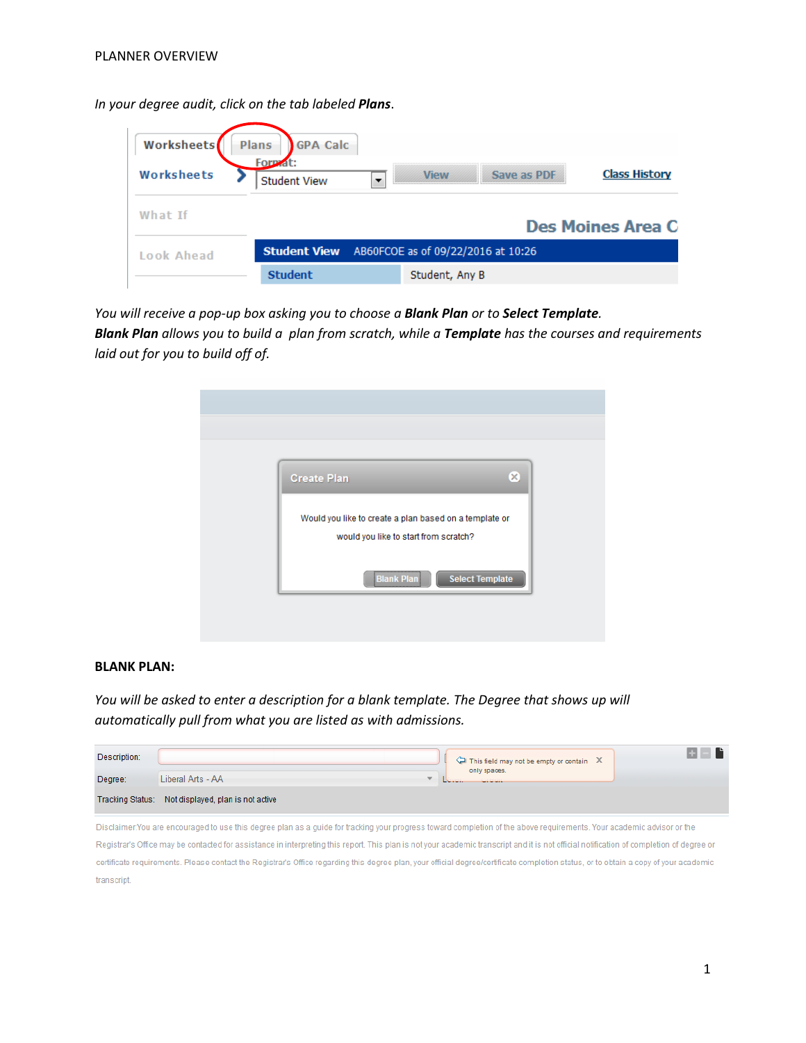In your degree audit, click on the tab labeled Plans.

| <b>Worksheets</b><br>Worksheets | <b>Plans</b><br><b>GPA Calc</b><br>Format:      |                          | <b>View</b>    | Save as PDF | <b>Class History</b>     |
|---------------------------------|-------------------------------------------------|--------------------------|----------------|-------------|--------------------------|
| What If                         | <b>Student View</b>                             | $\overline{\phantom{a}}$ |                |             | <b>Des Moines Area C</b> |
| Look Ahead                      | Student View AB60FCOE as of 09/22/2016 at 10:26 |                          |                |             |                          |
|                                 | <b>Student</b>                                  |                          | Student, Any B |             |                          |

You will receive a pop-up box asking you to choose a Blank Plan or to Select Template.

Blank Plan allows you to build a plan from scratch, while a Template has the courses and requirements laid out for you to build off of.

| ⊗<br><b>Create Plan</b>                                                                         |
|-------------------------------------------------------------------------------------------------|
| Would you like to create a plan based on a template or<br>would you like to start from scratch? |
| <b>Select Template</b><br><b>Blank Plan</b><br>                                                 |
|                                                                                                 |

## **BLANK PLAN:**

You will be asked to enter a description for a blank template. The Degree that shows up will automatically pull from what you are listed as with admissions.

| Description: |                                                                                                                                                                       | This field may not be empty or contain $X$ |
|--------------|-----------------------------------------------------------------------------------------------------------------------------------------------------------------------|--------------------------------------------|
| Degree:      | Liberal Arts - AA                                                                                                                                                     | only spaces.                               |
|              | Tracking Status: Not displayed, plan is not active                                                                                                                    |                                            |
|              | Disclaimer:You are encouraged to use this degree plan as a guide for tracking your progress toward completion of the above reguirements. Your academic advisor or the |                                            |

egree pla s a guide ng your progr Registrar's Office may be contacted for assistance in interpreting this report. This plan is not your academic transcript and it is not official notification of completion of degree or certificate requirements. Please contact the Registrar's Office regarding this degree plan, your official degree/certificate completion status, or to obtain a copy of your academic transcript.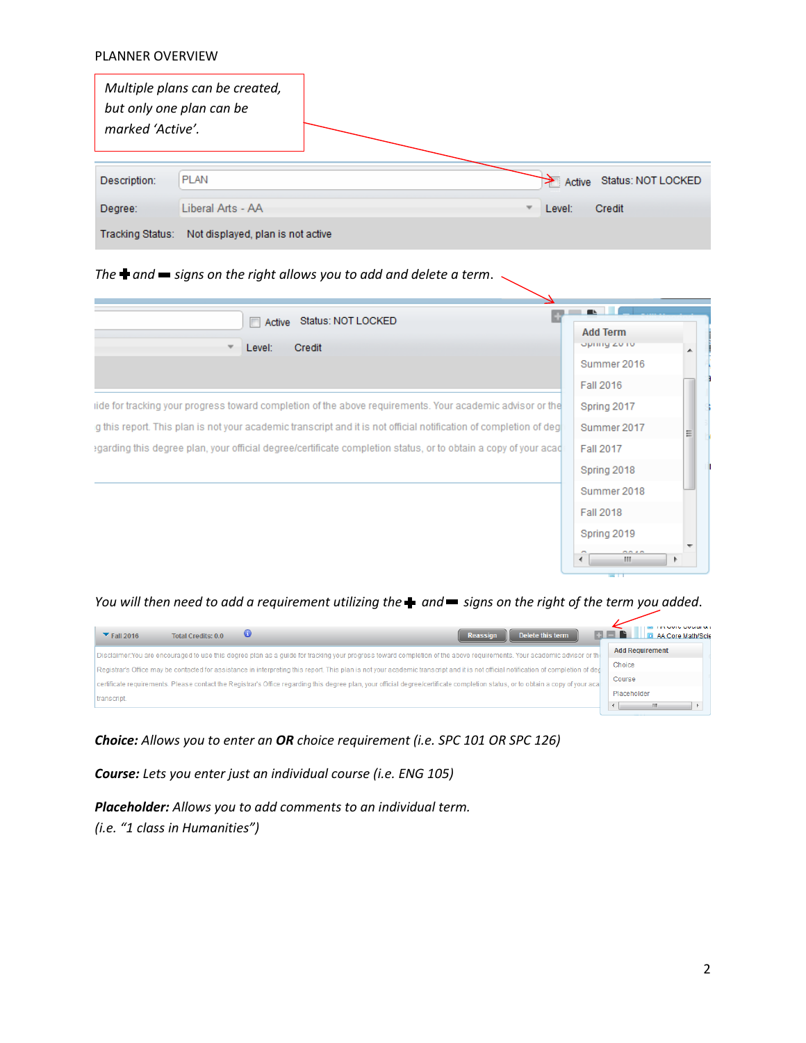#### PLANNER OVERVIEW

| marked 'Active'. | Multiple plans can be created,<br>but only one plan can be |                          |                         |                    |
|------------------|------------------------------------------------------------|--------------------------|-------------------------|--------------------|
| Description:     | <b>PLAN</b>                                                |                          | $\triangleright$ Active | Status: NOT LOCKED |
| Degree:          | Liberal Arts - AA                                          | $\overline{\phantom{a}}$ | Level:                  | Credit             |
| Tracking Status: | Not displayed, plan is not active                          |                          |                         |                    |

# The  $\bigstar$  and  $\bigstar$  signs on the right allows you to add and delete a term.

| Status: NOT LOCKED<br>$\Box$ Active                                                                               | <b>ALCOHOL:</b>                |   |
|-------------------------------------------------------------------------------------------------------------------|--------------------------------|---|
| Credit<br>Level:                                                                                                  | <b>Add Term</b><br>opning zono |   |
|                                                                                                                   | Summer 2016                    |   |
|                                                                                                                   | Fall 2016                      |   |
| lide for tracking your progress toward completion of the above requirements. Your academic advisor or the         | Spring 2017                    |   |
| g this report. This plan is not your academic transcript and it is not official notification of completion of deg | Summer 2017                    | ≣ |
| egarding this degree plan, your official degree/certificate completion status, or to obtain a copy of your acad   | <b>Fall 2017</b>               |   |
|                                                                                                                   | Spring 2018                    |   |
|                                                                                                                   | Summer 2018                    |   |
|                                                                                                                   | <b>Fall 2018</b>               |   |
|                                                                                                                   | Spring 2019                    |   |
|                                                                                                                   | $\sim$ $\sim$ $\sim$<br>m.     | r |
|                                                                                                                   | ਕਸ                             |   |

### You will then need to add a requirement utilizing the  $\bigstar$  and  $\blacksquare$  signs on the right of the term you added.

| Œ<br>Delete this term<br>$\blacktriangledown$ Fall 2016<br><b>Total Credits: 0.0</b><br><b>Reassign</b>                                                                            | AA Core Math/Scie      |
|------------------------------------------------------------------------------------------------------------------------------------------------------------------------------------|------------------------|
| Disclaimer. You are encouraged to use this degree plan as a quide for tracking your progress toward completion of the above requirements. Your academic advisor or the             | <b>Add Requirement</b> |
| Registrar's Office may be contacted for assistance in interpreting this report. This plan is not your academic transcript and it is not official notification of completion of ded | Choice                 |
| certificate requirements. Please contact the Registrar's Office regarding this degree plan, your official degree/certificate completion status, or to obtain a copy of your aca    | Course                 |
| transcript.                                                                                                                                                                        | Placeholder            |
|                                                                                                                                                                                    |                        |

Choice: Allows you to enter an OR choice requirement (i.e. SPC 101 OR SPC 126)

Course: Lets you enter just an individual course (i.e. ENG 105)

Placeholder: Allows you to add comments to an individual term. (i.e. "1 class in Humanities")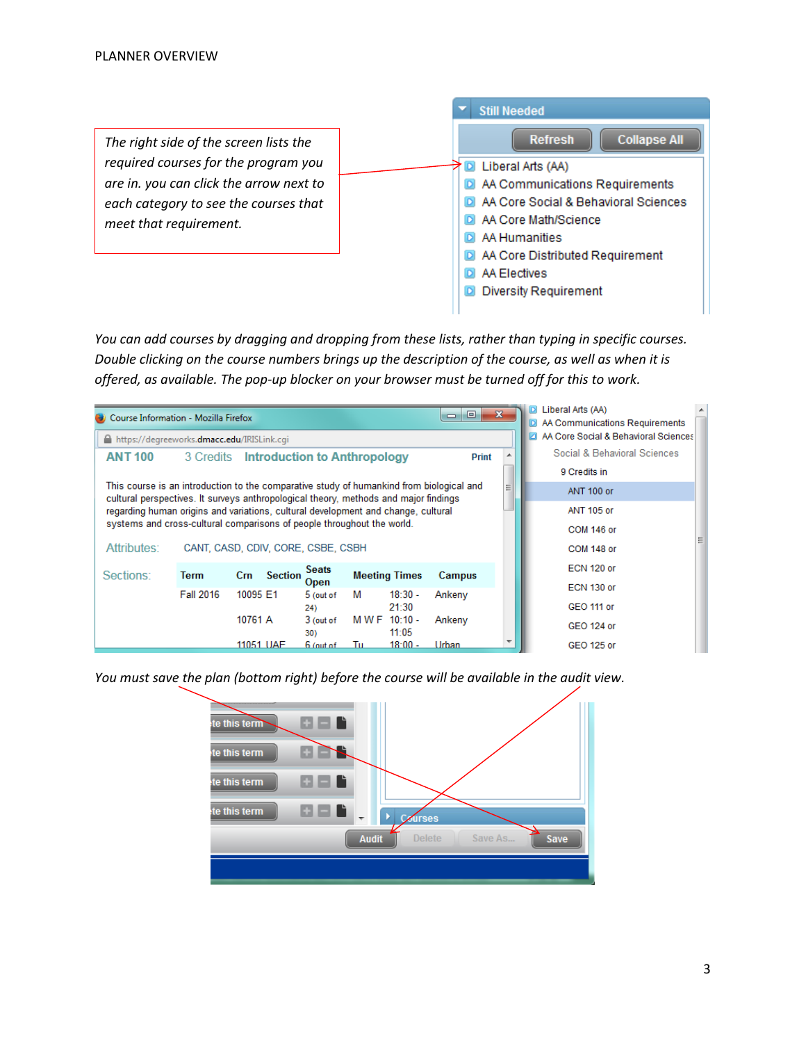

You can add courses by dragging and dropping from these lists, rather than typing in specific courses. Double clicking on the course numbers brings up the description of the course, as well as when it is offered, as available. The pop-up blocker on your browser must be turned off for this to work.

| Course Information - Mozilla Firefox                                                                                                                                             |                                                                                      |                                              |                  |     |                      | $\Box$<br>$\blacksquare$ | $\overline{\mathbf{x}}$              | Liberal Arts (AA)<br>D<br>AA Communications Requirements |   |
|----------------------------------------------------------------------------------------------------------------------------------------------------------------------------------|--------------------------------------------------------------------------------------|----------------------------------------------|------------------|-----|----------------------|--------------------------|--------------------------------------|----------------------------------------------------------|---|
|                                                                                                                                                                                  | https://degreeworks.dmacc.edu/IRISLink.cgi                                           |                                              |                  |     |                      |                          | AA Core Social & Behavioral Sciences |                                                          |   |
| <b>ANT 100</b>                                                                                                                                                                   | 3 Credits                                                                            | <b>Introduction to Anthropology</b><br>Print |                  |     |                      |                          |                                      | Social & Behavioral Sciences                             |   |
|                                                                                                                                                                                  |                                                                                      |                                              | 9 Credits in     |     |                      |                          |                                      |                                                          |   |
| This course is an introduction to the comparative study of humankind from biological and<br>cultural perspectives. It surveys anthropological theory, methods and major findings |                                                                                      |                                              |                  |     |                      |                          | Ξ                                    | <b>ANT 100 or</b>                                        |   |
| regarding human origins and variations, cultural development and change, cultural                                                                                                |                                                                                      |                                              |                  |     |                      |                          |                                      | <b>ANT 105 or</b>                                        |   |
|                                                                                                                                                                                  | systems and cross-cultural comparisons of people throughout the world.<br>COM 146 or |                                              |                  |     |                      |                          |                                      |                                                          |   |
| Attributes:                                                                                                                                                                      | CANT. CASD, CDIV, CORE, CSBE, CSBH                                                   |                                              |                  |     |                      |                          |                                      | COM 148 or                                               | Ξ |
| Sections:                                                                                                                                                                        | <b>Seats</b><br><b>Meeting Times</b><br>Term<br><b>Section</b><br>Campus<br>Crn.     |                                              |                  |     |                      |                          |                                      | ECN 120 or                                               |   |
|                                                                                                                                                                                  |                                                                                      |                                              | Open             |     |                      |                          |                                      | ECN 130 or                                               |   |
|                                                                                                                                                                                  | <b>Fall 2016</b>                                                                     | 10095 E1                                     | 5 (out of<br>24) | М   | $18:30 -$<br>21:30   | Ankeny                   |                                      | GEO 111 or                                               |   |
|                                                                                                                                                                                  |                                                                                      | 10761 A                                      | 3 (out of<br>30) |     | MWF 10:10 -<br>11:05 | Ankeny                   |                                      | GEO 124 or                                               |   |
|                                                                                                                                                                                  |                                                                                      | 11051 UAF                                    | $6$ (out of      | Tu. | $18.00 -$            | Urban                    |                                      | GEO 125 or                                               |   |



You must save the plan (bottom right) before the course will be available in the audit view.